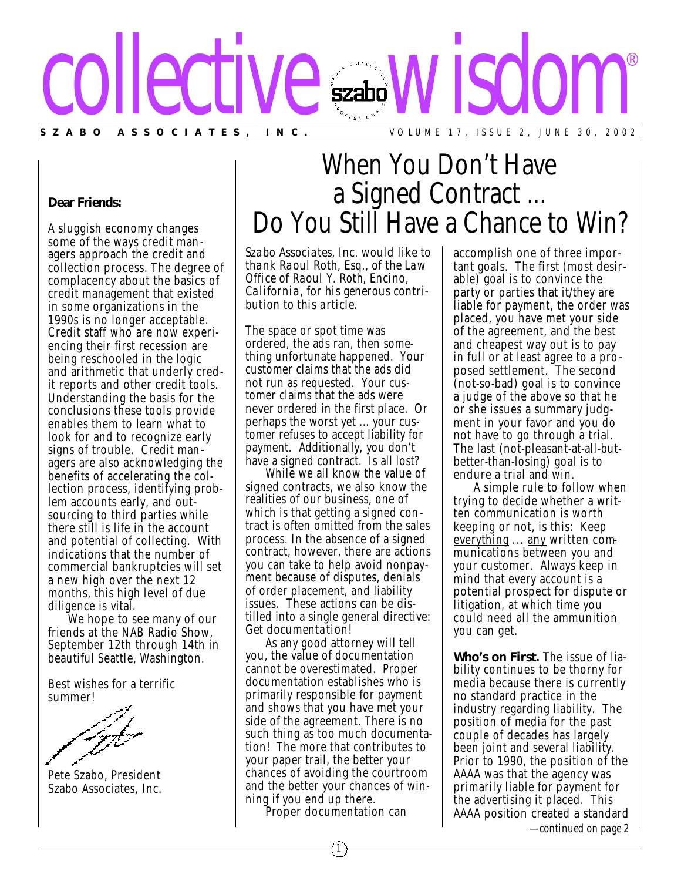

## **Dear Friends:**

A sluggish economy changes some of the ways credit managers approach the credit and collection process. The degree of complacency about the basics of credit management that existed in some organizations in the 1990s is no longer acceptable. Credit staff who are now experiencing their first recession are being reschooled in the logic and arithmetic that underly credit reports and other credit tools. Understanding the basis for the conclusions these tools provide enables them to learn what to look for and to recognize early signs of trouble. Credit managers are also acknowledging the benefits of accelerating the collection process, identifying problem accounts early, and outsourcing to third parties while there still is life in the account and potential of collecting. With indications that the number of commercial bankruptcies will set a new high over the next 12 months, this high level of due diligence is vital.

We hope to see many of our friends at the NAB Radio Show, September 12th through 14th in beautiful Seattle, Washington.

Best wishes for a terrific summer!

Pete Szabo, President Szabo Associates, Inc.

## When You Don't Have a Signed Contract ... Do You Still Have a Chance to Win?

*Szabo Associates, Inc. would like to thank Raoul Roth, Esq., of the Law Office of Raoul Y. Roth, Encino, California, for his generous contribution to this article.*

The space or spot time was ordered, the ads ran, then something unfortunate happened. Your customer claims that the ads did not run as requested. Your customer claims that the ads were never ordered in the first place. Or perhaps the worst yet ... your customer refuses to accept liability for payment. Additionally, you don't have a signed contract. Is all lost?

While we all know the value of signed contracts, we also know the realities of our business, one of which is that getting a signed contract is often omitted from the sales process. In the absence of a signed contract, however, there are actions you can take to help avoid nonpayment because of disputes, denials of order placement, and liability issues. These actions can be distilled into a single general directive: *Get documentation!*

As any good attorney will tell you, the value of documentation cannot be overestimated. Proper documentation establishes who is primarily responsible for payment and shows that you have met your side of the agreement. There is no such thing as too much documentation! The more that contributes to your paper trail, the better your chances of avoiding the courtroom and the better your chances of winning if you end up there.

Proper documentation can

accomplish one of three important goals. The first (most desirable) goal is to convince the party or parties that it/they are liable for payment, the order was placed, you have met your side of the agreement, and the best and cheapest way out is to pay in full or at least agree to a pro posed settlement. The second (not-so-bad) goal is to convince a judge of the above so that he or she issues a summary judgment in your favor and you do not have to go through a trial. The last (not-pleasant-at-all-butbetter-than-losing) goal is to endure a trial and win.

A simple rule to follow when trying to decide whether a written communication is worth keeping or not, is this: Keep everything ... any written communications between you and your customer. Always keep in mind that every account is a potential prospect for dispute or litigation, at which time you could need all the ammunition you can get.

**Who's on First.** The issue of liability continues to be thorny for media because there is currently no standard practice in the industry regarding liability. The position of media for the past couple of decades has largely been joint and several liability. Prior to 1990, the position of the AAAA was that the agency was primarily liable for payment for the advertising it placed. This AAAA position created a standard *—continued on page 2*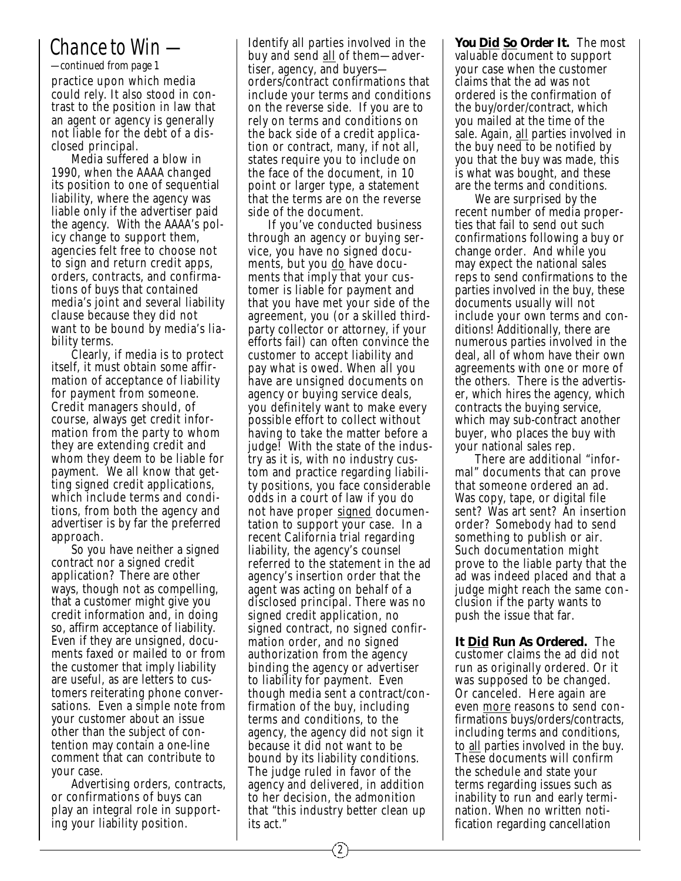## *Chance to Win —*

practice upon which media could rely. It also stood in contrast to the position in law that an agent or agency is generally not liable for the debt of a dis closed principal. *—continued from page 1*

Media suffered a blow in 1990, when the AAAA changed its position to one of sequential liability, where the agency was liable only if the advertiser paid the agency. With the AAAA's policy change to support them, agencies felt free to choose not to sign and return credit apps, orders, contracts, and confirmations of buys that contained media's joint and several liability clause because they did not want to be bound by media's lia bility terms.

Clearly, if media is to protect itself, it must obtain some affirmation of acceptance of liability for payment from someone. Credit managers should, of course, always get credit information from the party to whom they are extending credit and whom they deem to be liable for payment. We all know that getting signed credit applications, which include terms and conditions, from both the agency and advertiser is by far the preferred approach.

So you have neither a signed contract nor a signed credit application? There are other ways, though not as compelling, that a customer might give you credit information and, in doing so, affirm acceptance of liability. Even if they are unsigned, documents faxed or mailed to or from the customer that imply liability are useful, as are letters to customers reiterating phone conversations. Even a simple note from your customer about an issue other than the subject of contention may contain a one-line comment that can contribute to your case.

Advertising orders, contracts, or confirmations of buys can play an integral role in supporting your liability position.

Identify all parties involved in the buy and send all of them—advertiser, agency, and buyers orders/contract confirmations that include your terms and conditions on the reverse side. If you are to rely on terms and conditions on the back side of a credit applica tion or contract, many, if not all, states require you to include on the face of the document, in 10 point or larger type, a statement that the terms are on the reverse side of the document.

If you've conducted business through an agency or buying service, you have no signed documents, but you do have documents that imply that your customer is liable for payment and that you have met your side of the agreement, you (or a skilled thirdparty collector or attorney, if your efforts fail) can often convince the customer to accept liability and pay what is owed. When all you have are unsigned documents on agency or buying service deals, you definitely want to make every possible effort to collect without having to take the matter before a judge! With the state of the indus try as it is, with no industry custom and practice regarding liability positions, you face considerable odds in a court of law if you do not have proper signed documentation to support your case. In a recent California trial regarding liability, the agency's counsel referred to the statement in the ad agency's insertion order that the agent was acting on behalf of a disclosed principal. There was no signed credit application, no signed contract, no signed confirmation order, and no signed authorization from the agency binding the agency or advertiser to liability for payment. Even though media sent a contract/confirmation of the buy, including terms and conditions, to the agency, the agency did not sign it because it did not want to be bound by its liability conditions. The judge ruled in favor of the agency and delivered, in addition to her decision, the admonition that "this industry better clean up its act."

**You Did So Order It.** The most valuable document to support your case when the customer claims that the ad was not ordered is the confirmation of the buy/order/contract, which you mailed at the time of the sale. Again, all parties involved in the buy need to be notified by you that the buy was made, this is what was bought, and these are the terms and conditions.

We are surprised by the recent number of media properties that fail to send out such confirmations following a buy or change order. And while you may expect the national sales reps to send confirmations to the parties involved in the buy, these documents usually will not include your own terms and conditions! Additionally, there are numerous parties involved in the deal, all of whom have their own agreements with one or more of the others. There is the advertiser, which hires the agency, which contracts the buying service, which may sub-contract another buyer, who places the buy with your national sales rep.

There are additional "informal" documents that can prove that someone ordered an ad. Was copy, tape, or digital file sent? Was art sent? An insertion order? Somebody had to send something to publish or air. Such documentation might prove to the liable party that the ad was indeed placed and that a judge might reach the same conclusion if the party wants to push the issue that far.

**It Did Run As Ordered.** The customer claims the ad did not run as originally ordered. Or it was supposed to be changed. Or canceled. Here again are even more reasons to send confirmations buys/orders/contracts, including terms and conditions, to all parties involved in the buy. These documents will confirm the schedule and state your terms regarding issues such as inability to run and early termination. When no written notification regarding cancellation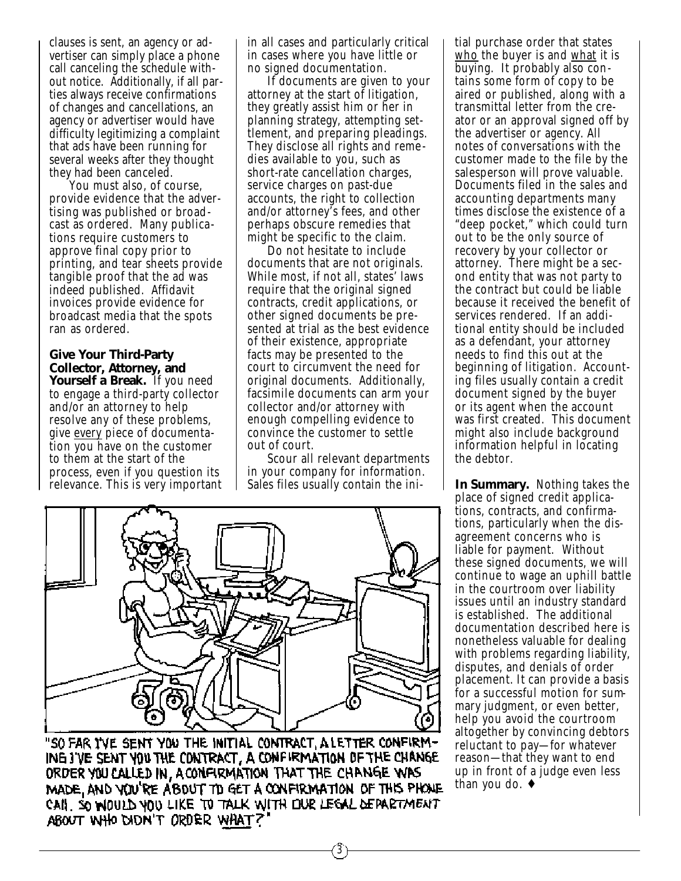clauses is sent, an agency or advertiser can simply place a phone call canceling the schedule without notice. Additionally, if all parties always receive confirmations of changes and cancellations, an agency or advertiser would have difficulty legitimizing a complaint that ads have been running for several weeks after they thought they had been canceled.

You must also, of course, provide evidence that the advertising was published or broadcast as ordered. Many publications require customers to approve final copy prior to printing, and tear sheets provide tangible proof that the ad was indeed published. Affidavit invoices provide evidence for broadcast media that the spots ran as ordered.

**Give Your Third-Party Collector, Attorney, and Yourself a Break.** If you need to engage a third-party collector and/or an attorney to help resolve any of these problems, give every piece of documentation you have on the customer to them at the start of the process, even if you question its relevance. This is very important in all cases and particularly critical in cases where you have little or no signed documentation.

If documents are given to your attorney at the start of litigation, they greatly assist him or her in planning strategy, attempting settlement, and preparing pleadings. They disclose all rights and reme dies available to you, such as short-rate cancellation charges, service charges on past-due accounts, the right to collection and/or attorney's fees, and other perhaps obscure remedies that might be specific to the claim.

Do not hesitate to include documents that are not originals. While most, if not all, states' laws require that the original signed contracts, credit applications, or other signed documents be presented at trial as the best evidence of their existence, appropriate facts may be presented to the court to circumvent the need for original documents. Additionally, facsimile documents can arm your collector and/or attorney with enough compelling evidence to convince the customer to settle out of court.

Scour all relevant departments in your company for information. Sales files usually contain the ini-

3



"SO FAR I'VE SENT YOU THE INITIAL CONTRACT, A LETTER CONFIRM-ING J'VE SENT YOU THE CONTRACT, A CONFIRMATION OF THE CHANGE ORDER YOU CALLED IN, A CONFIRMATION THAT THE CHANGE WAS MADE, AND YOU'RE ABOUT TO GET A CONFIRMATION OF THIS PHONE CAIL SO WOULD YOU LIKE TO TALK WITH OUR LEGAL DEPARTMENT ABOUT WHO DIDN'T ORDER WHAT?

tial purchase order that states who the buyer is and what it is buying. It probably also contains some form of copy to be aired or published, along with a transmittal letter from the creator or an approval signed off by the advertiser or agency. All notes of conversations with the customer made to the file by the salesperson will prove valuable. Documents filed in the sales and accounting departments many times disclose the existence of a "deep pocket," which could turn out to be the only source of recovery by your collector or attorney. There might be a second entity that was not party to the contract but could be liable because it received the benefit of services rendered. If an additional entity should be included as a defendant, your attorney needs to find this out at the beginning of litigation. Accounting files usually contain a credit document signed by the buyer or its agent when the account was first created. This document might also include background information helpful in locating the debtor.

**In Summary.** Nothing takes the place of signed credit applications, contracts, and confirmations, particularly when the disagreement concerns who is liable for payment. Without these signed documents, we will continue to wage an uphill battle in the courtroom over liability issues until an industry standard is established. The additional documentation described here is nonetheless valuable for dealing with problems regarding liability, disputes, and denials of order placement. It can provide a basis for a successful motion for summary judgment, or even better, help you avoid the courtroom altogether by convincing debtors reluctant to pay—for whatever reason—that they want to end up in front of a judge even less than you do. ♦